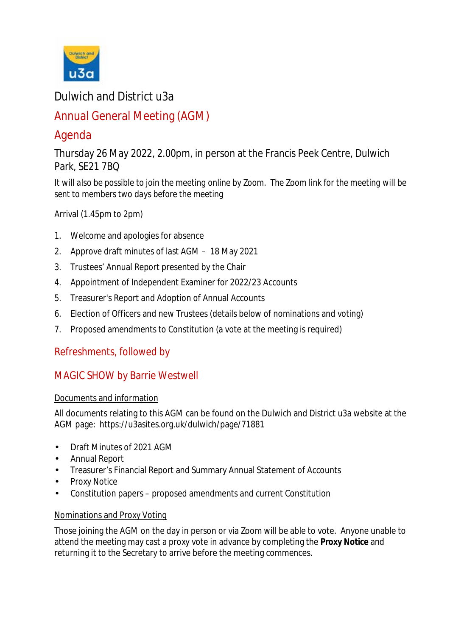

# Dulwich and District u3a

# Annual General Meeting (AGM)

# Agenda

Thursday 26 May 2022, 2.00pm, in person at the Francis Peek Centre, Dulwich Park, SE21 7BQ

*It will also be possible to join the meeting online by Zoom. The Zoom link for the meeting will be sent to members two days before the meeting*

Arrival (1.45pm to 2pm)

- 1. Welcome and apologies for absence
- 2. Approve draft minutes of last AGM 18 May 2021
- 3. Trustees' Annual Report presented by the Chair
- 4. Appointment of Independent Examiner for 2022/23 Accounts
- 5. Treasurer's Report and Adoption of Annual Accounts
- 6. Election of Officers and new Trustees (details below of nominations and voting)
- 7. Proposed amendments to Constitution (a vote at the meeting is required)

## Refreshments, followed by

## MAGIC SHOW by Barrie Westwell

### Documents and information

All documents relating to this AGM can be found on the Dulwich and District u3a website at the AGM page: https://u3asites.org.uk/dulwich/page/71881

- Draft Minutes of 2021 AGM  $\mathbf{r}$
- Annual Report
- Treasurer's Financial Report and Summary Annual Statement of Accounts
- Proxy Notice
- Constitution papers proposed amendments and current Constitution ä.

### Nominations and Proxy Voting

Those joining the AGM on the day in person or via Zoom will be able to vote. Anyone unable to attend the meeting may cast a proxy vote in advance by completing the **Proxy Notice** and returning it to the Secretary to arrive before the meeting commences.